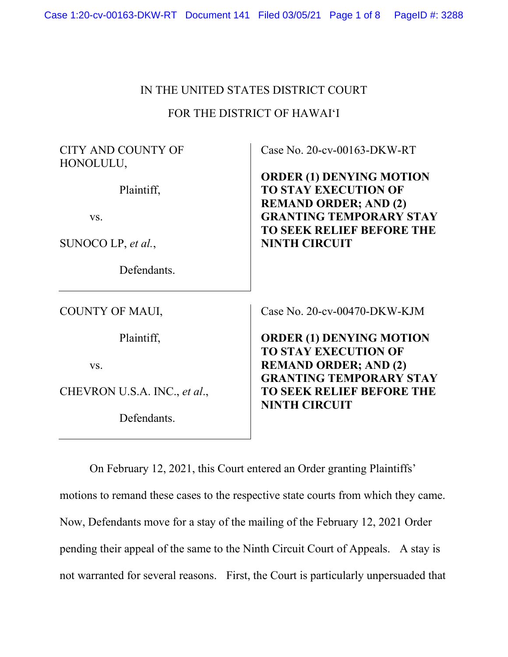# IN THE UNITED STATES DISTRICT COURT

# FOR THE DISTRICT OF HAWAI'I

CITY AND COUNTY OF HONOLULU,

Plaintiff,

vs.

SUNOCO LP, *et al.*,

Defendants.

COUNTY OF MAUI,

Plaintiff,

vs.

CHEVRON U.S.A. INC., *et al*.,

Defendants.

Case No. 20-cv-00163-DKW-RT

**ORDER (1) DENYING MOTION TO STAY EXECUTION OF REMAND ORDER; AND (2) GRANTING TEMPORARY STAY TO SEEK RELIEF BEFORE THE NINTH CIRCUIT**

Case No. 20-cv-00470-DKW-KJM

**ORDER (1) DENYING MOTION TO STAY EXECUTION OF REMAND ORDER; AND (2) GRANTING TEMPORARY STAY TO SEEK RELIEF BEFORE THE NINTH CIRCUIT**

On February 12, 2021, this Court entered an Order granting Plaintiffs' motions to remand these cases to the respective state courts from which they came. Now, Defendants move for a stay of the mailing of the February 12, 2021 Order pending their appeal of the same to the Ninth Circuit Court of Appeals. A stay is not warranted for several reasons. First, the Court is particularly unpersuaded that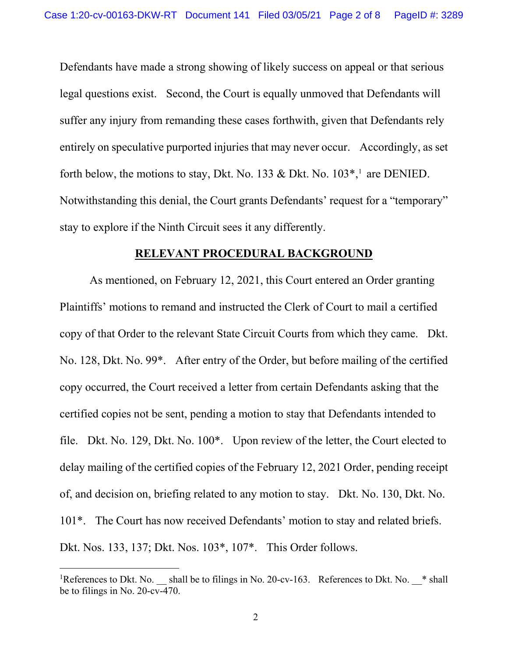Defendants have made a strong showing of likely success on appeal or that serious legal questions exist. Second, the Court is equally unmoved that Defendants will suffer any injury from remanding these cases forthwith, given that Defendants rely entirely on speculative purported injuries that may never occur. Accordingly, as set forth below, the motions to stay, Dkt. No. 133 & Dkt. No.  $103^*$ , are DENIED. Notwithstanding this denial, the Court grants Defendants' request for a "temporary" stay to explore if the Ninth Circuit sees it any differently.

#### **RELEVANT PROCEDURAL BACKGROUND**

As mentioned, on February 12, 2021, this Court entered an Order granting Plaintiffs' motions to remand and instructed the Clerk of Court to mail a certified copy of that Order to the relevant State Circuit Courts from which they came. Dkt. No. 128, Dkt. No. 99\*. After entry of the Order, but before mailing of the certified copy occurred, the Court received a letter from certain Defendants asking that the certified copies not be sent, pending a motion to stay that Defendants intended to file. Dkt. No. 129, Dkt. No. 100\*. Upon review of the letter, the Court elected to delay mailing of the certified copies of the February 12, 2021 Order, pending receipt of, and decision on, briefing related to any motion to stay. Dkt. No. 130, Dkt. No. 101\*. The Court has now received Defendants' motion to stay and related briefs. Dkt. Nos. 133, 137; Dkt. Nos. 103\*, 107\*. This Order follows.

<sup>&</sup>lt;sup>1</sup>References to Dkt. No. \_\_ shall be to filings in No. 20-cv-163. References to Dkt. No. \_\_\* shall be to filings in No. 20-cv-470.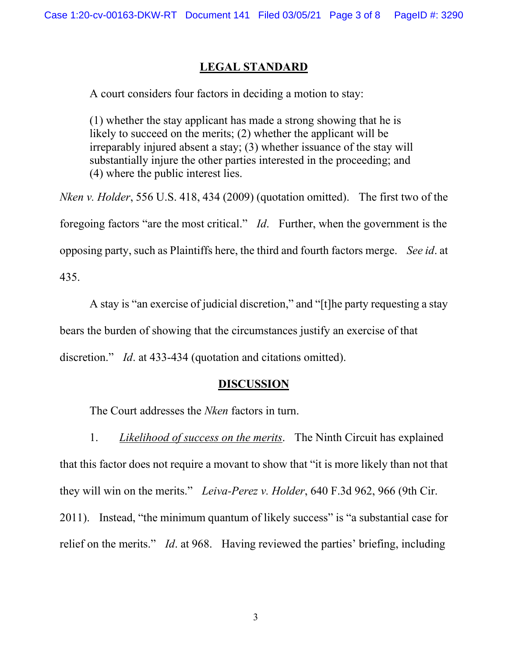### **LEGAL STANDARD**

A court considers four factors in deciding a motion to stay:

(1) whether the stay applicant has made a strong showing that he is likely to succeed on the merits; (2) whether the applicant will be irreparably injured absent a stay; (3) whether issuance of the stay will substantially injure the other parties interested in the proceeding; and (4) where the public interest lies.

*Nken v. Holder*, 556 U.S. 418, 434 (2009) (quotation omitted). The first two of the foregoing factors "are the most critical." *Id*. Further, when the government is the opposing party, such as Plaintiffs here, the third and fourth factors merge. *See id*. at 435.

A stay is "an exercise of judicial discretion," and "[t]he party requesting a stay bears the burden of showing that the circumstances justify an exercise of that discretion." *Id*. at 433-434 (quotation and citations omitted).

### **DISCUSSION**

The Court addresses the *Nken* factors in turn.

1. *Likelihood of success on the merits*. The Ninth Circuit has explained that this factor does not require a movant to show that "it is more likely than not that they will win on the merits." *Leiva-Perez v. Holder*, 640 F.3d 962, 966 (9th Cir. 2011). Instead, "the minimum quantum of likely success" is "a substantial case for relief on the merits." *Id*. at 968. Having reviewed the parties' briefing, including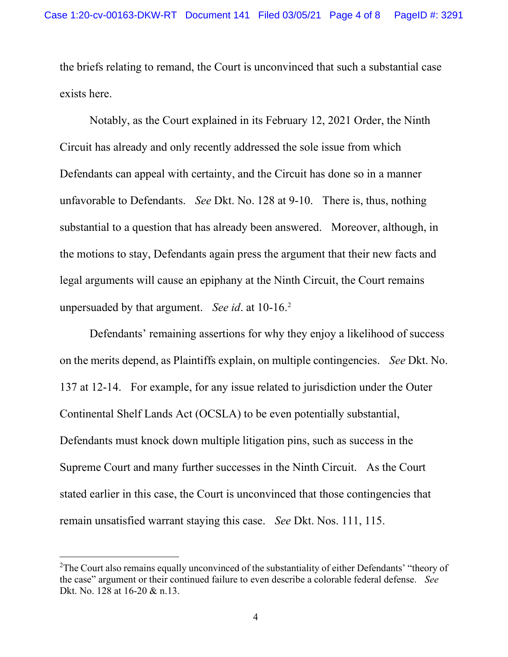the briefs relating to remand, the Court is unconvinced that such a substantial case exists here.

Notably, as the Court explained in its February 12, 2021 Order, the Ninth Circuit has already and only recently addressed the sole issue from which Defendants can appeal with certainty, and the Circuit has done so in a manner unfavorable to Defendants. *See* Dkt. No. 128 at 9-10. There is, thus, nothing substantial to a question that has already been answered. Moreover, although, in the motions to stay, Defendants again press the argument that their new facts and legal arguments will cause an epiphany at the Ninth Circuit, the Court remains unpersuaded by that argument. *See id*. at 10-16.2

Defendants' remaining assertions for why they enjoy a likelihood of success on the merits depend, as Plaintiffs explain, on multiple contingencies. *See* Dkt. No. 137 at 12-14. For example, for any issue related to jurisdiction under the Outer Continental Shelf Lands Act (OCSLA) to be even potentially substantial, Defendants must knock down multiple litigation pins, such as success in the Supreme Court and many further successes in the Ninth Circuit. As the Court stated earlier in this case, the Court is unconvinced that those contingencies that remain unsatisfied warrant staying this case. *See* Dkt. Nos. 111, 115.

<sup>&</sup>lt;sup>2</sup>The Court also remains equally unconvinced of the substantiality of either Defendants' "theory of the case" argument or their continued failure to even describe a colorable federal defense. *See* Dkt. No. 128 at 16-20 & n.13.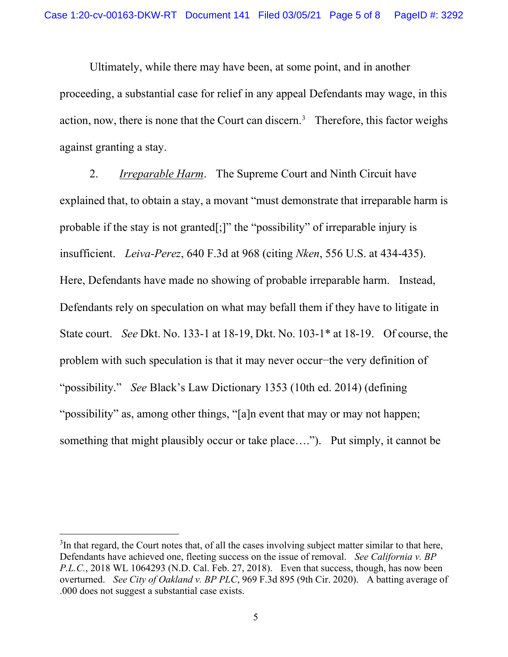Ultimately, while there may have been, at some point, and in another proceeding, a substantial case for relief in any appeal Defendants may wage, in this action, now, there is none that the Court can discern.<sup>3</sup> Therefore, this factor weighs against granting a stay.

2. *Irreparable Harm*. The Supreme Court and Ninth Circuit have explained that, to obtain a stay, a movant "must demonstrate that irreparable harm is probable if the stay is not granted[;]" the "possibility" of irreparable injury is insufficient. *Leiva-Perez*, 640 F.3d at 968 (citing *Nken*, 556 U.S. at 434-435). Here, Defendants have made no showing of probable irreparable harm. Instead, Defendants rely on speculation on what may befall them if they have to litigate in State court. *See* Dkt. No. 133-1 at 18-19, Dkt. No. 103-1\* at 18-19. Of course, the problem with such speculation is that it may never occur−the very definition of "possibility." *See* Black's Law Dictionary 1353 (10th ed. 2014) (defining "possibility" as, among other things, "[a]n event that may or may not happen; something that might plausibly occur or take place…."). Put simply, it cannot be

 $3$ In that regard, the Court notes that, of all the cases involving subject matter similar to that here, Defendants have achieved one, fleeting success on the issue of removal. *See California v. BP P.L.C.*, 2018 WL 1064293 (N.D. Cal. Feb. 27, 2018). Even that success, though, has now been overturned. *See City of Oakland v. BP PLC*, 969 F.3d 895 (9th Cir. 2020). A batting average of .000 does not suggest a substantial case exists.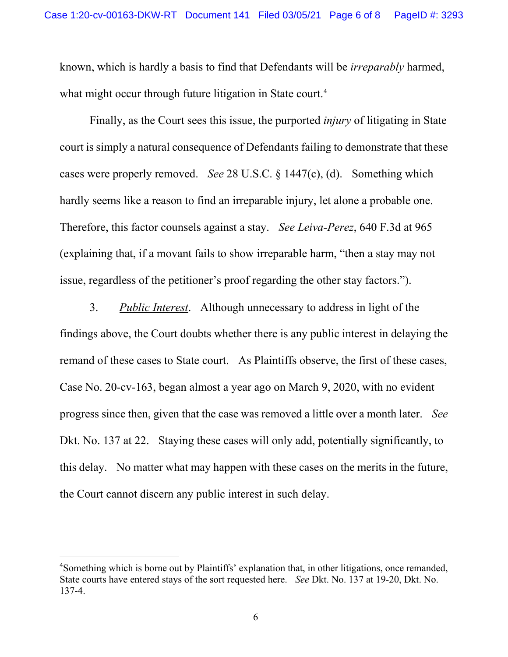known, which is hardly a basis to find that Defendants will be *irreparably* harmed, what might occur through future litigation in State court.<sup>4</sup>

Finally, as the Court sees this issue, the purported *injury* of litigating in State court is simply a natural consequence of Defendants failing to demonstrate that these cases were properly removed. *See* 28 U.S.C. § 1447(c), (d). Something which hardly seems like a reason to find an irreparable injury, let alone a probable one. Therefore, this factor counsels against a stay. *See Leiva-Perez*, 640 F.3d at 965 (explaining that, if a movant fails to show irreparable harm, "then a stay may not issue, regardless of the petitioner's proof regarding the other stay factors.").

3. *Public Interest*. Although unnecessary to address in light of the findings above, the Court doubts whether there is any public interest in delaying the remand of these cases to State court. As Plaintiffs observe, the first of these cases, Case No. 20-cv-163, began almost a year ago on March 9, 2020, with no evident progress since then, given that the case was removed a little over a month later. *See* Dkt. No. 137 at 22. Staying these cases will only add, potentially significantly, to this delay. No matter what may happen with these cases on the merits in the future, the Court cannot discern any public interest in such delay.

<sup>&</sup>lt;sup>4</sup>Something which is borne out by Plaintiffs' explanation that, in other litigations, once remanded, State courts have entered stays of the sort requested here. *See* Dkt. No. 137 at 19-20, Dkt. No. 137-4.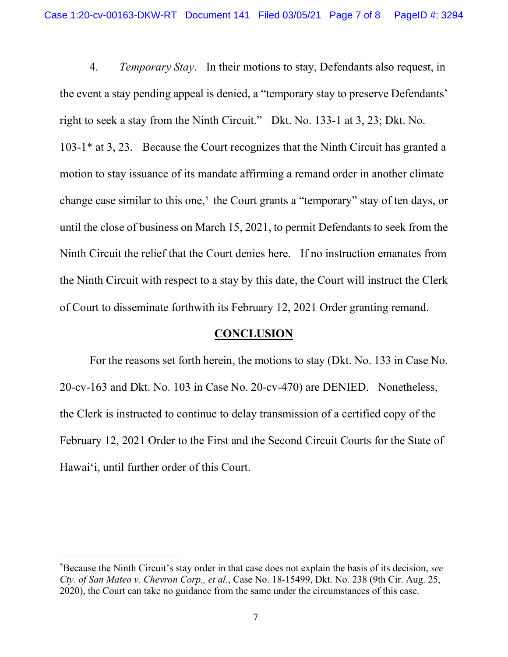4. *Temporary Stay*. In their motions to stay, Defendants also request, in the event a stay pending appeal is denied, a "temporary stay to preserve Defendants' right to seek a stay from the Ninth Circuit." Dkt. No. 133-1 at 3, 23; Dkt. No. 103-1\* at 3, 23. Because the Court recognizes that the Ninth Circuit has granted a motion to stay issuance of its mandate affirming a remand order in another climate change case similar to this one,<sup>5</sup> the Court grants a "temporary" stay of ten days, or until the close of business on March 15, 2021, to permit Defendants to seek from the Ninth Circuit the relief that the Court denies here. If no instruction emanates from the Ninth Circuit with respect to a stay by this date, the Court will instruct the Clerk of Court to disseminate forthwith its February 12, 2021 Order granting remand.

# **CONCLUSION**

For the reasons set forth herein, the motions to stay (Dkt. No. 133 in Case No. 20-cv-163 and Dkt. No. 103 in Case No. 20-cv-470) are DENIED. Nonetheless, the Clerk is instructed to continue to delay transmission of a certified copy of the February 12, 2021 Order to the First and the Second Circuit Courts for the State of Hawai'i, until further order of this Court.

<sup>5</sup> Because the Ninth Circuit's stay order in that case does not explain the basis of its decision, *see Cty. of San Mateo v. Chevron Corp., et al.*, Case No. 18-15499, Dkt. No. 238 (9th Cir. Aug. 25, 2020), the Court can take no guidance from the same under the circumstances of this case.